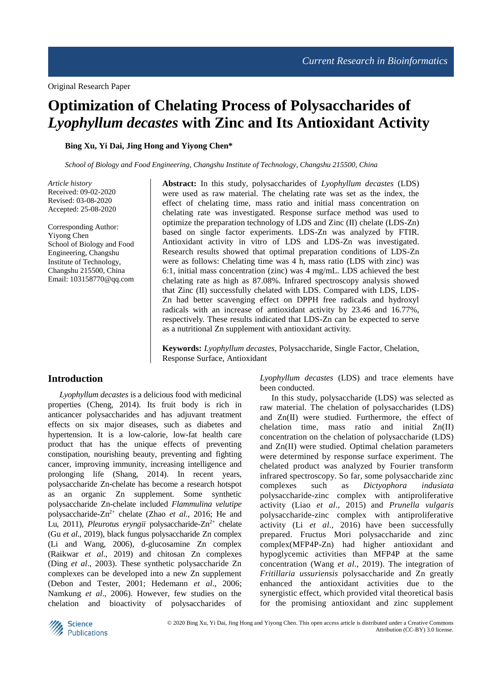# **Optimization of Chelating Process of Polysaccharides of**  *Lyophyllum decastes* **with Zinc and Its Antioxidant Activity**

**Bing Xu, Yi Dai, Jing Hong and Yiyong Chen\***

*School of Biology and Food Engineering, Changshu Institute of Technology, Changshu 215500, China*

*Article history* Received: 09-02-2020 Revised: 03-08-2020 Accepted: 25-08-2020

Corresponding Author: Yiyong Chen School of Biology and Food Engineering, Changshu Institute of Technology, Changshu 215500, China Email: 103158770@qq.com **Abstract:** In this study, polysaccharides of *Lyophyllum decastes* (LDS) were used as raw material. The chelating rate was set as the index, the effect of chelating time, mass ratio and initial mass concentration on chelating rate was investigated. Response surface method was used to optimize the preparation technology of LDS and Zinc (Ⅱ) chelate (LDS-Zn) based on single factor experiments. LDS-Zn was analyzed by FTIR. Antioxidant activity in vitro of LDS and LDS-Zn was investigated. Research results showed that optimal preparation conditions of LDS-Zn were as follows: Chelating time was 4 h, mass ratio (LDS with zinc) was 6:1, initial mass concentration (zinc) was 4 mg/mL. LDS achieved the best chelating rate as high as 87.08%. Infrared spectroscopy analysis showed that Zinc (Ⅱ) successfully chelated with LDS. Compared with LDS, LDS-Zn had better scavenging effect on DPPH free radicals and hydroxyl radicals with an increase of antioxidant activity by 23.46 and 16.77%, respectively. These results indicated that LDS-Zn can be expected to serve as a nutritional Zn supplement with antioxidant activity.

**Keywords:** *Lyophyllum decastes*, Polysaccharide, Single Factor, Chelation, Response Surface, Antioxidant

# **Introduction**

*Lyophyllum decastes* is a delicious food with medicinal properties (Cheng, 2014). Its fruit body is rich in anticancer polysaccharides and has adjuvant treatment effects on six major diseases, such as diabetes and hypertension. It is a low-calorie, low-fat health care product that has the unique effects of preventing constipation, nourishing beauty, preventing and fighting cancer, improving immunity, increasing intelligence and prolonging life (Shang, 2014). In recent years, polysaccharide Zn-chelate has become a research hotspot as an organic Zn supplement. Some synthetic polysaccharide Zn-chelate included *Flammulina velutipe* polysaccharide-Zn2+ chelate (Zhao *et al*., 2016; He and Lu, 2011), *Pleurotus eryngii* polysaccharide-Zn<sup>2+</sup> chelate (Gu *et al*., 2019), black fungus polysaccharide Zn complex (Li and Wang, 2006), d-glucosamine Zn complex (Raikwar *et al*., 2019) and chitosan Zn complexes (Ding *et al*., 2003). These synthetic polysaccharide Zn complexes can be developed into a new Zn supplement (Debon and Tester, 2001; Hedemann *et al*., 2006; Namkung *et al*., 2006). However, few studies on the chelation and bioactivity of polysaccharides of *Lyophyllum decastes* (LDS) and trace elements have been conducted.

In this study, polysaccharide (LDS) was selected as raw material. The chelation of polysaccharides (LDS) and Zn(Ⅱ) were studied. Furthermore, the effect of chelation time, mass ratio and initial Zn(II) concentration on the chelation of polysaccharide (LDS) and Zn(II) were studied. Optimal chelation parameters were determined by response surface experiment. The chelated product was analyzed by Fourier transform infrared spectroscopy. So far, some polysaccharide zinc complexes such as *Dictyophora indusiata* polysaccharide-zinc complex with antiproliferative activity (Liao *et al*., 2015) and *Prunella vulgaris* polysaccharide-zinc complex with antiproliferative activity (Li *et al*., 2016) have been successfully prepared. Fructus Mori polysaccharide and zinc complex(MFP4P-Zn) had higher antioxidant and hypoglycemic activities than MFP4P at the same concentration (Wang *et al*., 2019). The integration of *Fritillaria ussuriensis* polysaccharide and Zn greatly enhanced the antioxidant activities due to the synergistic effect, which provided vital theoretical basis for the promising antioxidant and zinc supplement

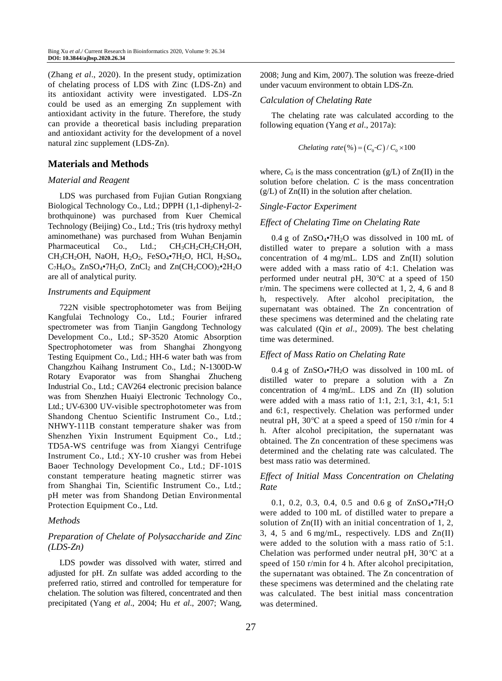(Zhang *et al*., 2020). In the present study, optimization of chelating process of LDS with Zinc (LDS-Zn) and its antioxidant activity were investigated. LDS-Zn could be used as an emerging Zn supplement with antioxidant activity in the future. Therefore, the study can provide a theoretical basis including preparation and antioxidant activity for the development of a novel natural zinc supplement (LDS-Zn).

# **Materials and Methods**

## *Material and Reagent*

LDS was purchased from Fujian Gutian Rongxiang Biological Technology Co., Ltd.; DPPH (1,1-diphenyl-2 brothquinone) was purchased from Kuer Chemical Technology (Beijing) Co., Ltd.; Tris (tris hydroxy methyl aminomethane) was purchased from Wuhan Benjamin Pharmaceutical Co., Ltd.; CH<sub>3</sub>CH<sub>2</sub>CH<sub>2</sub>CH<sub>2</sub>OH, CH<sub>3</sub>CH<sub>2</sub>OH, NaOH, H<sub>2</sub>O<sub>2</sub>, FeSO<sub>4</sub>•7H<sub>2</sub>O, HCl, H<sub>2</sub>SO<sub>4</sub>,  $C_7H_6O_3$ , ZnSO<sub>4</sub>•7H<sub>2</sub>O, ZnCl<sub>2</sub> and Zn(CH<sub>2</sub>COO)<sub>2</sub>•2H<sub>2</sub>O are all of analytical purity.

## *Instruments and Equipment*

722N visible spectrophotometer was from Beijing Kangfulai Technology Co., Ltd.; Fourier infrared spectrometer was from Tianjin Gangdong Technology Development Co., Ltd.; SP-3520 Atomic Absorption Spectrophotometer was from Shanghai Zhongyong Testing Equipment Co., Ltd.; HH-6 water bath was from Changzhou Kaihang Instrument Co., Ltd.; N-1300D-W Rotary Evaporator was from Shanghai Zhucheng Industrial Co., Ltd.; CAV264 electronic precision balance was from Shenzhen Huaiyi Electronic Technology Co., Ltd.; UV-6300 UV-visible spectrophotometer was from Shandong Chentuo Scientific Instrument Co., Ltd.; NHWY-111B constant temperature shaker was from Shenzhen Yixin Instrument Equipment Co., Ltd.; TD5A-WS centrifuge was from Xiangyi Centrifuge Instrument Co., Ltd.; XY-10 crusher was from Hebei Baoer Technology Development Co., Ltd.; DF-101S constant temperature heating magnetic stirrer was from Shanghai Tin, Scientific Instrument Co., Ltd.; pH meter was from Shandong Detian Environmental Protection Equipment Co., Ltd.

## *Methods*

# *Preparation of Chelate of Polysaccharide and Zinc (LDS-Zn)*

LDS powder was dissolved with water, stirred and adjusted for pH. Zn sulfate was added according to the preferred ratio, stirred and controlled for temperature for chelation. The solution was filtered, concentrated and then precipitated (Yang *et al*., 2004; Hu *et al*., 2007; Wang, 2008; Jung and Kim, 2007).The solution was freeze-dried under vacuum environment to obtain LDS-Zn.

#### *Calculation of Chelating Rate*

The chelating rate was calculated according to the following equation (Yang *et al*., 2017a):

$$
Chelating\ rate (\%) = (C_0-C)/C_0 \times 100
$$

where,  $C_0$  is the mass concentration ( $g/L$ ) of  $Zn(II)$  in the solution before chelation. *C* is the mass concentration  $(g/L)$  of  $Zn(II)$  in the solution after chelation.

## *Single-Factor Experiment*

## *Effect of Chelating Time on Chelating Rate*

0.4 g of  $ZnSO_4\bullet 7H_2O$  was dissolved in 100 mL of distilled water to prepare a solution with a mass concentration of 4 mg/mL. LDS and Zn(II) solution were added with a mass ratio of 4:1. Chelation was performed under neutral pH, 30℃ at a speed of 150 r/min. The specimens were collected at 1, 2, 4, 6 and 8 h, respectively. After alcohol precipitation, the supernatant was obtained. The Zn concentration of these specimens was determined and the chelating rate was calculated (Qin *et al*., 2009). The best chelating time was determined.

## *Effect of Mass Ratio on Chelating Rate*

0.4 g of  $ZnSO_4\bullet 7H_2O$  was dissolved in 100 mL of distilled water to prepare a solution with a Zn concentration of 4 mg/mL. LDS and Zn (II) solution were added with a mass ratio of 1:1, 2:1, 3:1, 4:1, 5:1 and 6:1, respectively. Chelation was performed under neutral pH, 30℃ at a speed a speed of 150 r/min for 4 h. After alcohol precipitation, the supernatant was obtained. The Zn concentration of these specimens was determined and the chelating rate was calculated. The best mass ratio was determined.

# *Effect of Initial Mass Concentration on Chelating Rate*

0.1, 0.2, 0.3, 0.4, 0.5 and 0.6 g of ZnSO<sub>4</sub>•7H<sub>2</sub>O were added to 100 mL of distilled water to prepare a solution of Zn(II) with an initial concentration of 1, 2, 3, 4, 5 and 6 mg/mL, respectively. LDS and Zn(II) were added to the solution with a mass ratio of 5:1. Chelation was performed under neutral pH, 30℃ at a speed of 150 r/min for 4 h. After alcohol precipitation, the supernatant was obtained. The Zn concentration of these specimens was determined and the chelating rate was calculated. The best initial mass concentration was determined.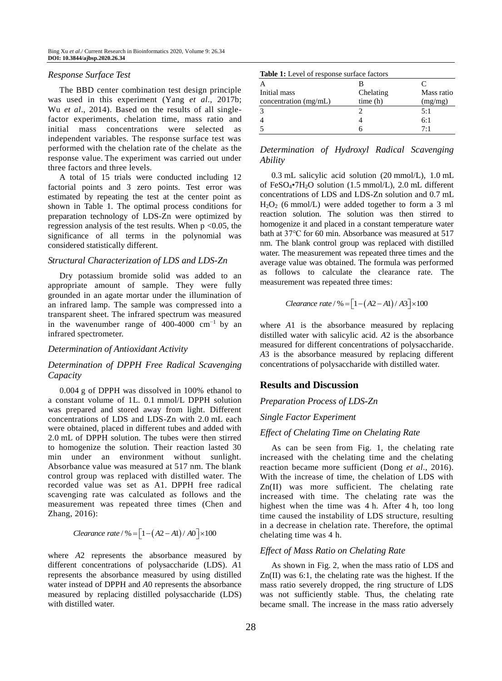#### *Response Surface Test*

The BBD center combination test design principle was used in this experiment (Yang *et al*., 2017b; Wu *et al*., 2014). Based on the results of all singlefactor experiments, chelation time, mass ratio and initial mass concentrations were selected as independent variables. The response surface test was performed with the chelation rate of the chelate as the response value. The experiment was carried out under three factors and three levels.

A total of 15 trials were conducted including 12 factorial points and 3 zero points. Test error was estimated by repeating the test at the center point as shown in Table 1. The optimal process conditions for preparation technology of LDS-Zn were optimized by regression analysis of the test results. When  $p \le 0.05$ , the significance of all terms in the polynomial was considered statistically different.

#### *Structural Characterization of LDS and LDS-Zn*

Dry potassium bromide solid was added to an appropriate amount of sample. They were fully grounded in an agate mortar under the illumination of an infrared lamp. The sample was compressed into a transparent sheet. The infrared spectrum was measured in the wavenumber range of 400-4000  $cm^{-1}$  by an infrared spectrometer.

## *Determination of Antioxidant Activity*

# *Determination of DPPH Free Radical Scavenging Capacity*

0.004 g of DPPH was dissolved in 100% ethanol to a constant volume of 1L. 0.1 mmol/L DPPH solution was prepared and stored away from light. Different concentrations of LDS and LDS-Zn with 2.0 mL each were obtained, placed in different tubes and added with 2.0 mL of DPPH solution. The tubes were then stirred to homogenize the solution. Their reaction lasted 30 min under an environment without sunlight. Absorbance value was measured at 517 nm. The blank control group was replaced with distilled water. The recorded value was set as A1. DPPH free radical scavenging rate was calculated as follows and the measurement was repeated three times (Chen and Zhang, 2016):

$$
Clearance\ rate/ \% = \left[1 - \left(A2 - A1\right)/\ A0\right] \times 100
$$

where *A*2 represents the absorbance measured by different concentrations of polysaccharide (LDS). *A*1 represents the absorbance measured by using distilled water instead of DPPH and *A*0 represents the absorbance measured by replacing distilled polysaccharide (LDS) with distilled water.

| A                     |           |            |  |  |  |  |
|-----------------------|-----------|------------|--|--|--|--|
| Initial mass          | Chelating | Mass ratio |  |  |  |  |
| concentration (mg/mL) | time(h)   | (mg/mg)    |  |  |  |  |
| 3                     |           | 5:1        |  |  |  |  |
| $\overline{4}$        |           | 6:1        |  |  |  |  |
| 5                     |           | 7.1        |  |  |  |  |
|                       |           |            |  |  |  |  |

*Determination of Hydroxyl Radical Scavenging Ability*

0.3 mL salicylic acid solution (20 mmol/L), 1.0 mL of FeSO4•7H2O solution (1.5 mmol/L), 2.0 mL different concentrations of LDS and LDS-Zn solution and 0.7 mL H2O<sup>2</sup> (6 mmol/L) were added together to form a 3 ml reaction solution. The solution was then stirred to homogenize it and placed in a constant temperature water bath at 37℃ for 60 min. Absorbance was measured at 517 nm. The blank control group was replaced with distilled water. The measurement was repeated three times and the average value was obtained. The formula was performed as follows to calculate the clearance rate. The measurement was repeated three times:

$$
Clearance\ rate/ \% = \left[1 - \left(A2 - A1\right)/A3\right] \times 100
$$

where *A*1 is the absorbance measured by replacing distilled water with salicylic acid. *A*2 is the absorbance measured for different concentrations of polysaccharide. *A*3 is the absorbance measured by replacing different concentrations of polysaccharide with distilled water.

## **Results and Discussion**

*Preparation Process of LDS-Zn*

## *Single Factor Experiment*

#### *Effect of Chelating Time on Chelating Rate*

As can be seen from Fig. 1, the chelating rate increased with the chelating time and the chelating reaction became more sufficient (Dong *et al*., 2016). With the increase of time, the chelation of LDS with Zn(II) was more sufficient. The chelating rate increased with time. The chelating rate was the highest when the time was 4 h. After 4 h, too long time caused the instability of LDS structure, resulting in a decrease in chelation rate. Therefore, the optimal chelating time was 4 h.

## *Effect of Mass Ratio on Chelating Rate*

As shown in Fig. 2, when the mass ratio of LDS and Zn(II) was 6:1, the chelating rate was the highest. If the mass ratio severely dropped, the ring structure of LDS was not sufficiently stable. Thus, the chelating rate became small. The increase in the mass ratio adversely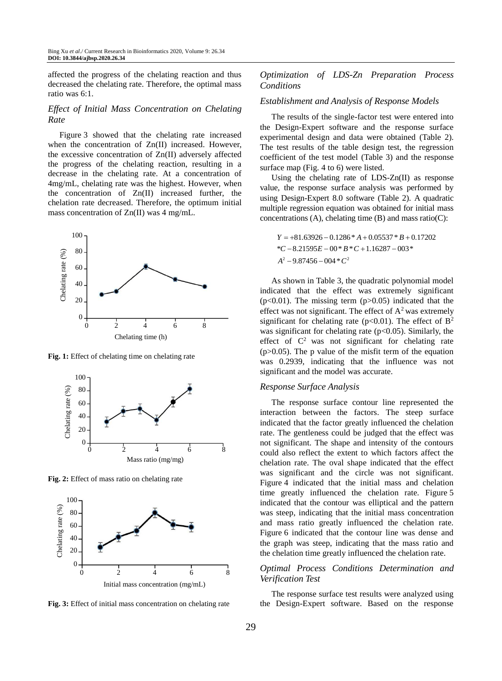affected the progress of the chelating reaction and thus decreased the chelating rate. Therefore, the optimal mass ratio was 6:1.

## *Effect of Initial Mass Concentration on Chelating Rate*

Figure 3 showed that the chelating rate increased when the concentration of  $Zn(II)$  increased. However, the excessive concentration of Zn(II) adversely affected the progress of the chelating reaction, resulting in a decrease in the chelating rate. At a concentration of 4mg/mL, chelating rate was the highest. However, when the concentration of Zn(II) increased further, the chelation rate decreased. Therefore, the optimum initial mass concentration of Zn(II) was 4 mg/mL.



**Fig. 1:** Effect of chelating time on chelating rate



**Fig. 2:** Effect of mass ratio on chelating rate



**Fig. 3:** Effect of initial mass concentration on chelating rate

# *Optimization of LDS-Zn Preparation Process Conditions*

# *Establishment and Analysis of Response Models*

The results of the single-factor test were entered into the Design-Expert software and the response surface experimental design and data were obtained (Table 2). The test results of the table design test, the regression coefficient of the test model (Table 3) and the response surface map (Fig. 4 to 6) were listed.

Using the chelating rate of LDS-Zn(II) as response value, the response surface analysis was performed by using Design-Expert 8.0 software (Table 2). A quadratic multiple regression equation was obtained for initial mass concentrations  $(A)$ , chelating time  $(B)$  and mass ratio $(C)$ :

$$
Y = +81.63926 - 0.1286 * A + 0.05537 * B + 0.17202
$$
  
\*
$$
C - 8.21595E - 00 * B * C + 1.16287 - 003 *
$$
  

$$
A2 - 9.87456 - 004 * C2
$$

As shown in Table 3, the quadratic polynomial model indicated that the effect was extremely significant  $(p<0.01)$ . The missing term  $(p>0.05)$  indicated that the effect was not significant. The effect of  $A<sup>2</sup>$  was extremely significant for chelating rate ( $p<0.01$ ). The effect of  $B^2$ was significant for chelating rate ( $p<0.05$ ). Similarly, the effect of  $C<sup>2</sup>$  was not significant for chelating rate  $(p>0.05)$ . The p value of the misfit term of the equation was 0.2939, indicating that the influence was not significant and the model was accurate.

#### *Response Surface Analysis*

The response surface contour line represented the interaction between the factors. The steep surface indicated that the factor greatly influenced the chelation rate. The gentleness could be judged that the effect was not significant. The shape and intensity of the contours could also reflect the extent to which factors affect the chelation rate. The oval shape indicated that the effect was significant and the circle was not significant. Figure 4 indicated that the initial mass and chelation time greatly influenced the chelation rate. Figure 5 indicated that the contour was elliptical and the pattern was steep, indicating that the initial mass concentration and mass ratio greatly influenced the chelation rate. Figure 6 indicated that the contour line was dense and the graph was steep, indicating that the mass ratio and the chelation time greatly influenced the chelation rate.

# *Optimal Process Conditions Determination and Verification Test*

The response surface test results were analyzed using the Design-Expert software. Based on the response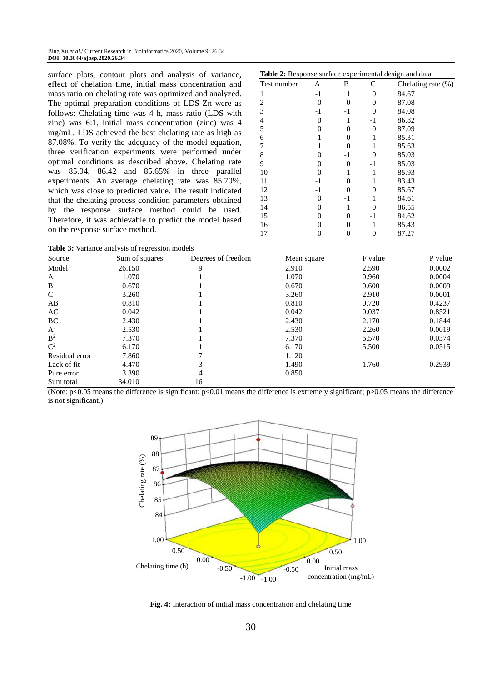surface plots, contour plots and analysis of variance, effect of chelation time, initial mass concentration and mass ratio on chelating rate was optimized and analyzed. The optimal preparation conditions of LDS-Zn were as follows: Chelating time was 4 h, mass ratio (LDS with zinc) was 6:1, initial mass concentration (zinc) was 4 mg/mL. LDS achieved the best chelating rate as high as 87.08%. To verify the adequacy of the model equation, three verification experiments were performed under optimal conditions as described above. Chelating rate was 85.04, 86.42 and 85.65% in three parallel experiments. An average chelating rate was 85.70%, which was close to predicted value. The result indicated that the chelating process condition parameters obtained by the response surface method could be used. Therefore, it was achievable to predict the model based on the response surface method.

| <b>Table 2:</b> Response surface experimental design and data |      |          |                |                       |  |  |  |  |
|---------------------------------------------------------------|------|----------|----------------|-----------------------|--|--|--|--|
| Test number                                                   | Α    | B        | C              | Chelating rate $(\%)$ |  |  |  |  |
| 1                                                             | $-1$ | 1        | $\overline{0}$ | 84.67                 |  |  |  |  |
| 2                                                             | 0    | 0        | $\theta$       | 87.08                 |  |  |  |  |
| 3                                                             | -1   | -1       | 0              | 84.08                 |  |  |  |  |
| 4                                                             | 0    | 1        | -1             | 86.82                 |  |  |  |  |
| 5                                                             | 0    | 0        | 0              | 87.09                 |  |  |  |  |
| 6                                                             |      | $\theta$ | -1             | 85.31                 |  |  |  |  |
| 7                                                             |      | 0        | 1              | 85.63                 |  |  |  |  |
| 8                                                             | 0    | -1       | 0              | 85.03                 |  |  |  |  |
| 9                                                             | 0    | $\theta$ | -1             | 85.03                 |  |  |  |  |
| 10                                                            | 0    |          | 1              | 85.93                 |  |  |  |  |
| 11                                                            | -1   | 0        | 1              | 83.43                 |  |  |  |  |
| 12                                                            | -1   | 0        | 0              | 85.67                 |  |  |  |  |
| 13                                                            | 0    | -1       | 1              | 84.61                 |  |  |  |  |
| 14                                                            | 0    |          | 0              | 86.55                 |  |  |  |  |
| 15                                                            | 0    | 0        | -1             | 84.62                 |  |  |  |  |
| 16                                                            | 0    | 0        | 1              | 85.43                 |  |  |  |  |
| 17                                                            | 0    | 0        | 0              | 87.27                 |  |  |  |  |

**Table 2:** Response surface experimental design and data

**Table 3:** Variance analysis of regression models

| <b>Table 5:</b> Variance analysis of regression models |                |                    |             |         |         |  |  |  |
|--------------------------------------------------------|----------------|--------------------|-------------|---------|---------|--|--|--|
| Source                                                 | Sum of squares | Degrees of freedom | Mean square | F value | P value |  |  |  |
| Model                                                  | 26.150         | 9                  | 2.910       | 2.590   | 0.0002  |  |  |  |
| A                                                      | 1.070          |                    | 1.070       | 0.960   | 0.0004  |  |  |  |
| B                                                      | 0.670          |                    | 0.670       | 0.600   | 0.0009  |  |  |  |
| $\mathcal{C}$                                          | 3.260          |                    | 3.260       | 2.910   | 0.0001  |  |  |  |
| AB                                                     | 0.810          |                    | 0.810       | 0.720   | 0.4237  |  |  |  |
| AC                                                     | 0.042          |                    | 0.042       | 0.037   | 0.8521  |  |  |  |
| BC                                                     | 2.430          |                    | 2.430       | 2.170   | 0.1844  |  |  |  |
| $A^2$                                                  | 2.530          |                    | 2.530       | 2.260   | 0.0019  |  |  |  |
| B <sup>2</sup>                                         | 7.370          |                    | 7.370       | 6.570   | 0.0374  |  |  |  |
| $\mathbf{C}^2$                                         | 6.170          |                    | 6.170       | 5.500   | 0.0515  |  |  |  |
| Residual error                                         | 7.860          |                    | 1.120       |         |         |  |  |  |
| Lack of fit                                            | 4.470          |                    | 1.490       | 1.760   | 0.2939  |  |  |  |
| Pure error                                             | 3.390          | 4                  | 0.850       |         |         |  |  |  |
| Sum total                                              | 34.010         | 16                 |             |         |         |  |  |  |

(Note:  $p<0.05$  means the difference is significant;  $p<0.01$  means the difference is extremely significant;  $p>0.05$  means the difference is not significant.)



**Fig. 4:** Interaction of initial mass concentration and chelating time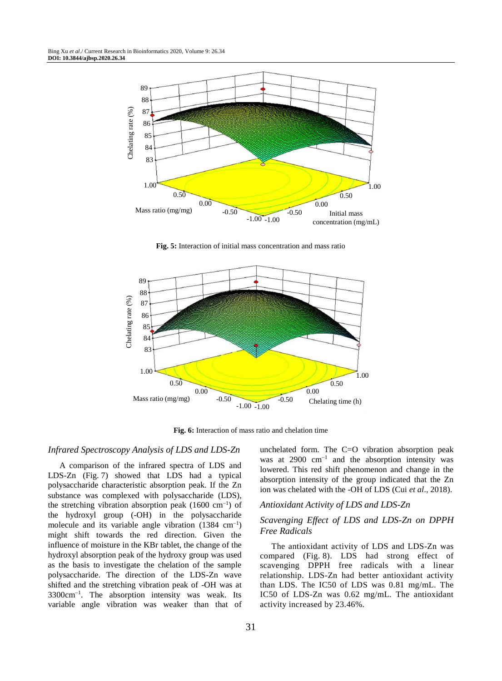

**Fig. 5:** Interaction of initial mass concentration and mass ratio



**Fig. 6:** Interaction of mass ratio and chelation time

#### *Infrared Spectroscopy Analysis of LDS and LDS-Zn*

A comparison of the infrared spectra of LDS and LDS-Zn (Fig. 7) showed that LDS had a typical polysaccharide characteristic absorption peak. If the Zn substance was complexed with polysaccharide (LDS), the stretching vibration absorption peak  $(1600 \text{ cm}^{-1})$  of the hydroxyl group (-OH) in the polysaccharide molecule and its variable angle vibration  $(1384 \text{ cm}^{-1})$ might shift towards the red direction. Given the influence of moisture in the KBr tablet, the change of the hydroxyl absorption peak of the hydroxy group was used as the basis to investigate the chelation of the sample polysaccharide. The direction of the LDS-Zn wave shifted and the stretching vibration peak of -OH was at 3300cm<sup>-1</sup>. The absorption intensity was weak. Its variable angle vibration was weaker than that of

unchelated form. The C=O vibration absorption peak was at  $2900 \text{ cm}^{-1}$  and the absorption intensity was lowered. This red shift phenomenon and change in the absorption intensity of the group indicated that the Zn ion was chelated with the -OH of LDS (Cui *et al*., 2018).

## *Antioxidant Activity of LDS and LDS-Zn*

# *Scavenging Effect of LDS and LDS-Zn on DPPH Free Radicals*

The antioxidant activity of LDS and LDS-Zn was compared (Fig. 8). LDS had strong effect of scavenging DPPH free radicals with a linear relationship. LDS-Zn had better antioxidant activity than LDS. The IC50 of LDS was 0.81 mg/mL. The IC50 of LDS-Zn was 0.62 mg/mL. The antioxidant activity increased by 23.46%.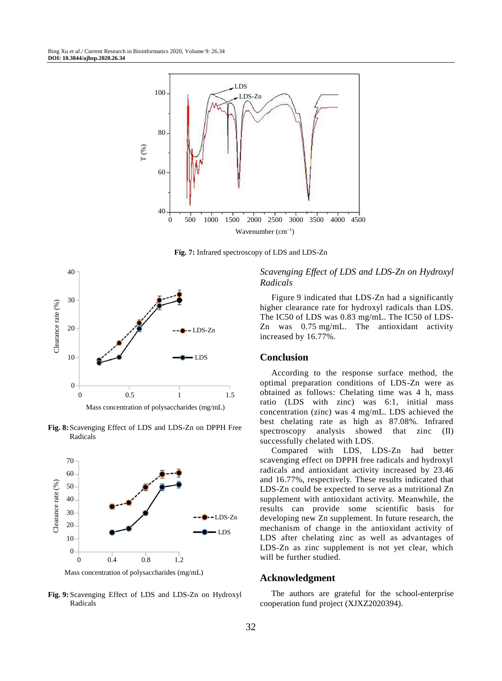

**Fig. 7:** Infrared spectroscopy of LDS and LDS-Zn



**Fig. 8:**Scavenging Effect of LDS and LDS-Zn on DPPH Free Radicals



**Fig. 9:** Scavenging Effect of LDS and LDS-Zn on Hydroxyl Radicals

# *Scavenging Effect of LDS and LDS-Zn on Hydroxyl Radicals*

Figure 9 indicated that LDS-Zn had a significantly higher clearance rate for hydroxyl radicals than LDS. The IC50 of LDS was 0.83 mg/mL. The IC50 of LDS-Zn was 0.75 mg/mL. The antioxidant activity increased by 16.77%.

## **Conclusion**

According to the response surface method, the optimal preparation conditions of LDS-Zn were as obtained as follows: Chelating time was 4 h, mass ratio (LDS with zinc) was 6:1, initial mass concentration (zinc) was 4 mg/mL. LDS achieved the best chelating rate as high as 87.08%. Infrared spectroscopy analysis showed that zinc (II) successfully chelated with LDS.

Compared with LDS, LDS-Zn had better scavenging effect on DPPH free radicals and hydroxyl radicals and antioxidant activity increased by 23.46 and 16.77%, respectively. These results indicated that LDS-Zn could be expected to serve as a nutritional Zn supplement with antioxidant activity. Meanwhile, the results can provide some scientific basis for developing new Zn supplement. In future research, the mechanism of change in the antioxidant activity of LDS after chelating zinc as well as advantages of LDS-Zn as zinc supplement is not yet clear, which will be further studied.

#### **Acknowledgment**

The authors are grateful for the school-enterprise cooperation fund project (XJXZ2020394).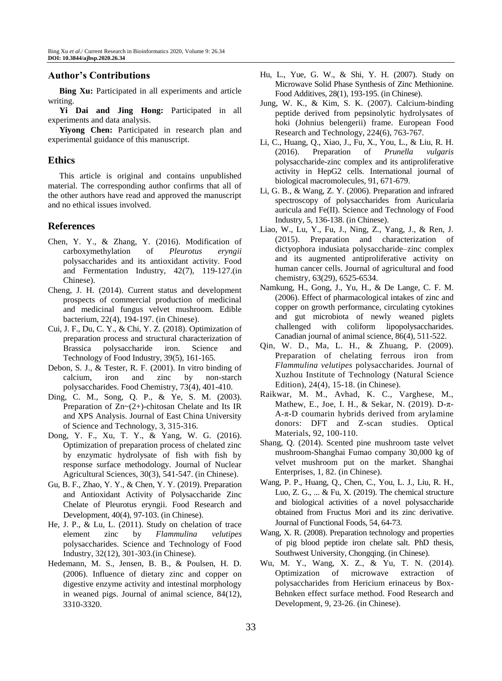# **Author's Contributions**

**Bing Xu:** Participated in all experiments and article writing.

**Yi Dai and Jing Hong:** Participated in all experiments and data analysis.

**Yiyong Chen:** Participated in research plan and experimental guidance of this manuscript.

# **Ethics**

This article is original and contains unpublished material. The corresponding author confirms that all of the other authors have read and approved the manuscript and no ethical issues involved.

# **References**

- Chen, Y. Y., & Zhang, Y. (2016). Modification of carboxymethylation of *Pleurotus eryngii* polysaccharides and its antioxidant activity. Food and Fermentation Industry, 42(7), 119-127.(in Chinese).
- Cheng, J. H. (2014). Current status and development prospects of commercial production of medicinal and medicinal fungus velvet mushroom. Edible bacterium, 22(4), 194-197. (in Chinese).
- Cui, J. F., Du, C. Y., & Chi, Y. Z. (2018). Optimization of preparation process and structural characterization of Brassica polysaccharide iron. Science and Technology of Food Industry, 39(5), 161-165.
- Debon, S. J., & Tester, R. F. (2001). In vitro binding of calcium, iron and zinc by non-starch polysaccharides. Food Chemistry, 73(4), 401-410.
- Ding, C. M., Song, Q. P., & Ye, S. M. (2003). Preparation of Zn~(2+)-chitosan Chelate and Its IR and XPS Analysis. Journal of East China University of Science and Technology, 3, 315-316.
- Dong, Y. F., Xu, T. Y., & Yang, W. G. (2016). Optimization of preparation process of chelated zinc by enzymatic hydrolysate of fish with fish by response surface methodology. Journal of Nuclear Agricultural Sciences, 30(3), 541-547. (in Chinese).
- Gu, B. F., Zhao, Y. Y., & Chen, Y. Y. (2019). Preparation and Antioxidant Activity of Polysaccharide Zinc Chelate of Pleurotus eryngii. Food Research and Development, 40(4), 97-103. (in Chinese).
- He, J. P., & Lu, L. (2011). Study on chelation of trace element zinc by *Flammulina velutipes* polysaccharides. Science and Technology of Food Industry, 32(12), 301-303.(in Chinese).
- Hedemann, M. S., Jensen, B. B., & Poulsen, H. D. (2006). Influence of dietary zinc and copper on digestive enzyme activity and intestinal morphology in weaned pigs. Journal of animal science, 84(12), 3310-3320.
- Hu, L., Yue, G. W., & Shi, Y. H. (2007). Study on Microwave Solid Phase Synthesis of Zinc Methionine. Food Additives, 28(1), 193-195. (in Chinese).
- Jung, W. K., & Kim, S. K. (2007). Calcium-binding peptide derived from pepsinolytic hydrolysates of hoki (Johnius belengerii) frame. European Food Research and Technology, 224(6), 763-767.
- Li, C., Huang, Q., Xiao, J., Fu, X., You, L., & Liu, R. H. (2016). Preparation of *Prunella vulgaris* polysaccharide-zinc complex and its antiproliferative activity in HepG2 cells. International journal of biological macromolecules, 91, 671-679.
- Li, G. B., & Wang, Z. Y. (2006). Preparation and infrared spectroscopy of polysaccharides from Auricularia auricula and Fe(II). Science and Technology of Food Industry, 5, 136-138. (in Chinese).
- Liao, W., Lu, Y., Fu, J., Ning, Z., Yang, J., & Ren, J. (2015). Preparation and characterization of dictyophora indusiata polysaccharide–zinc complex and its augmented antiproliferative activity on human cancer cells. Journal of agricultural and food chemistry, 63(29), 6525-6534.
- Namkung, H., Gong, J., Yu, H., & De Lange, C. F. M. (2006). Effect of pharmacological intakes of zinc and copper on growth performance, circulating cytokines and gut microbiota of newly weaned piglets challenged with coliform lipopolysaccharides. Canadian journal of animal science, 86(4), 511-522.
- Qin, W. D., Ma, L. H., & Zhuang, P. (2009). Preparation of chelating ferrous iron from *Flammulina velutipes* polysaccharides. Journal of Xuzhou Institute of Technology (Natural Science Edition), 24(4), 15-18. (in Chinese).
- Raikwar, M. M., Avhad, K. C., Varghese, M., Mathew, E., Joe, I. H., & Sekar, N. (2019). D-π-A-π-D coumarin hybrids derived from arylamine donors: DFT and Z-scan studies. Optical Materials, 92, 100-110.
- Shang, Q. (2014). Scented pine mushroom taste velvet mushroom-Shanghai Fumao company 30,000 kg of velvet mushroom put on the market. Shanghai Enterprises, 1, 82. (in Chinese).
- Wang, P. P., Huang, Q., Chen, C., You, L. J., Liu, R. H., Luo, Z. G., ... & Fu, X. (2019). The chemical structure and biological activities of a novel polysaccharide obtained from Fructus Mori and its zinc derivative. Journal of Functional Foods, 54, 64-73.
- Wang, X. R. (2008). Preparation technology and properties of pig blood peptide iron chelate salt. PhD thesis, Southwest University, Chongqing. (in Chinese).
- Wu, M. Y., Wang, X. Z., & Yu, T. N. (2014). Optimization of microwave extraction of polysaccharides from Hericium erinaceus by Box-Behnken effect surface method. Food Research and Development, 9, 23-26. (in Chinese).